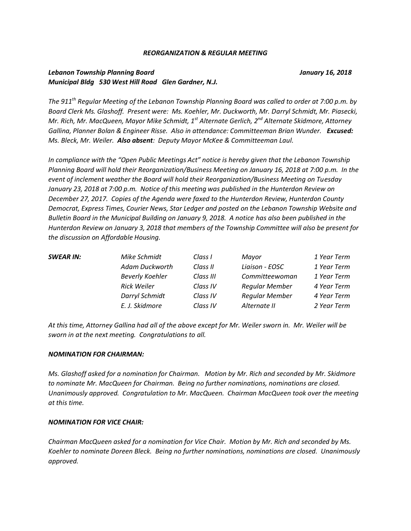#### *REORGANIZATION & REGULAR MEETING*

# *Lebanon Township Planning Board January 16, 2018 Municipal Bldg 530 West Hill Road Glen Gardner, N.J.*

*The 911th Regular Meeting of the Lebanon Township Planning Board was called to order at 7:00 p.m. by Board Clerk Ms. Glashoff. Present were: Ms. Koehler, Mr. Duckworth, Mr. Darryl Schmidt, Mr. Piasecki, Mr. Rich, Mr. MacQueen, Mayor Mike Schmidt, 1st Alternate Gerlich, 2nd Alternate Skidmore, Attorney Gallina, Planner Bolan & Engineer Risse. Also in attendance: Committeeman Brian Wunder. Excused: Ms. Bleck, Mr. Weiler. Also absent: Deputy Mayor McKee & Committeeman Laul.*

*In compliance with the "Open Public Meetings Act" notice is hereby given that the Lebanon Township Planning Board will hold their Reorganization/Business Meeting on January 16, 2018 at 7:00 p.m. In the event of inclement weather the Board will hold their Reorganization/Business Meeting on Tuesday January 23, 2018 at 7:00 p.m. Notice of this meeting was published in the Hunterdon Review on December 27, 2017. Copies of the Agenda were faxed to the Hunterdon Review, Hunterdon County Democrat, Express Times, Courier News, Star Ledger and posted on the Lebanon Township Website and Bulletin Board in the Municipal Building on January 9, 2018. A notice has also been published in the Hunterdon Review on January 3, 2018 that members of the Township Committee will also be present for the discussion on Affordable Housing.*

| SWEAR IN: | Mike Schmidt           | Class I   | Mayor                 | 1 Year Term |
|-----------|------------------------|-----------|-----------------------|-------------|
|           | Adam Duckworth         | Class II  | Liaison - EOSC        | 1 Year Term |
|           | <b>Beverly Koehler</b> | Class III | Committeewoman        | 1 Year Term |
|           | Rick Weiler            | Class IV  | <b>Regular Member</b> | 4 Year Term |
|           | Darryl Schmidt         | Class IV  | <b>Regular Member</b> | 4 Year Term |
|           | E. J. Skidmore         | Class IV  | Alternate II          | 2 Year Term |
|           |                        |           |                       |             |

*At this time, Attorney Gallina had all of the above except for Mr. Weiler sworn in. Mr. Weiler will be sworn in at the next meeting. Congratulations to all.*

#### *NOMINATION FOR CHAIRMAN:*

*Ms. Glashoff asked for a nomination for Chairman. Motion by Mr. Rich and seconded by Mr. Skidmore to nominate Mr. MacQueen for Chairman. Being no further nominations, nominations are closed. Unanimously approved. Congratulation to Mr. MacQueen. Chairman MacQueen took over the meeting at this time.* 

#### *NOMINATION FOR VICE CHAIR:*

*Chairman MacQueen asked for a nomination for Vice Chair. Motion by Mr. Rich and seconded by Ms. Koehler to nominate Doreen Bleck. Being no further nominations, nominations are closed. Unanimously approved.*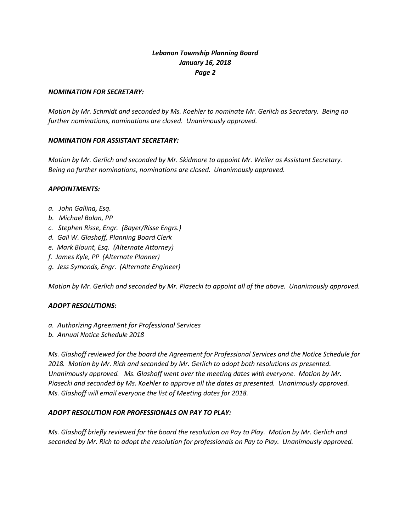#### *NOMINATION FOR SECRETARY:*

*Motion by Mr. Schmidt and seconded by Ms. Koehler to nominate Mr. Gerlich as Secretary. Being no further nominations, nominations are closed. Unanimously approved.*

## *NOMINATION FOR ASSISTANT SECRETARY:*

*Motion by Mr. Gerlich and seconded by Mr. Skidmore to appoint Mr. Weiler as Assistant Secretary. Being no further nominations, nominations are closed. Unanimously approved.*

## *APPOINTMENTS:*

- *a. John Gallina, Esq.*
- *b. Michael Bolan, PP*
- *c. Stephen Risse, Engr. (Bayer/Risse Engrs.)*
- *d. Gail W. Glashoff, Planning Board Clerk*
- *e. Mark Blount, Esq. (Alternate Attorney)*
- *f. James Kyle, PP (Alternate Planner)*
- *g. Jess Symonds, Engr. (Alternate Engineer)*

*Motion by Mr. Gerlich and seconded by Mr. Piasecki to appoint all of the above. Unanimously approved.*

# *ADOPT RESOLUTIONS:*

- *a. Authorizing Agreement for Professional Services*
- *b. Annual Notice Schedule 2018*

*Ms. Glashoff reviewed for the board the Agreement for Professional Services and the Notice Schedule for 2018. Motion by Mr. Rich and seconded by Mr. Gerlich to adopt both resolutions as presented. Unanimously approved. Ms. Glashoff went over the meeting dates with everyone. Motion by Mr. Piasecki and seconded by Ms. Koehler to approve all the dates as presented. Unanimously approved. Ms. Glashoff will email everyone the list of Meeting dates for 2018.*

# *ADOPT RESOLUTION FOR PROFESSIONALS ON PAY TO PLAY:*

*Ms. Glashoff briefly reviewed for the board the resolution on Pay to Play. Motion by Mr. Gerlich and seconded by Mr. Rich to adopt the resolution for professionals on Pay to Play. Unanimously approved.*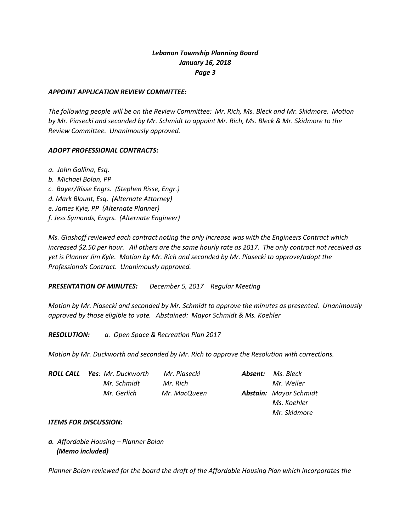## *APPOINT APPLICATION REVIEW COMMITTEE:*

*The following people will be on the Review Committee: Mr. Rich, Ms. Bleck and Mr. Skidmore. Motion by Mr. Piasecki and seconded by Mr. Schmidt to appoint Mr. Rich, Ms. Bleck & Mr. Skidmore to the Review Committee. Unanimously approved.*

## *ADOPT PROFESSIONAL CONTRACTS:*

- *a. John Gallina, Esq.*
- *b. Michael Bolan, PP c. Bayer/Risse Engrs. (Stephen Risse, Engr.) d. Mark Blount, Esq. (Alternate Attorney) e. James Kyle, PP (Alternate Planner) f. Jess Symonds, Engrs. (Alternate Engineer)*

*Ms. Glashoff reviewed each contract noting the only increase was with the Engineers Contract which increased \$2.50 per hour. All others are the same hourly rate as 2017. The only contract not received as yet is Planner Jim Kyle. Motion by Mr. Rich and seconded by Mr. Piasecki to approve/adopt the Professionals Contract. Unanimously approved.* 

# *PRESENTATION OF MINUTES: December 5, 2017 Regular Meeting*

*Motion by Mr. Piasecki and seconded by Mr. Schmidt to approve the minutes as presented. Unanimously approved by those eligible to vote. Abstained: Mayor Schmidt & Ms. Koehler*

*RESOLUTION: a. Open Space & Recreation Plan 2017*

*Motion by Mr. Duckworth and seconded by Mr. Rich to approve the Resolution with corrections.*

| <b>ROLL CALL</b> | <b>Yes</b> : Mr. Duckworth | Mr. Piasecki | <b>Absent:</b> Ms. Bleck      |
|------------------|----------------------------|--------------|-------------------------------|
|                  | Mr. Schmidt                | Mr. Rich     | Mr. Weiler                    |
|                  | Mr. Gerlich                | Mr. MacQueen | <b>Abstain:</b> Mayor Schmidt |
|                  |                            |              | Ms. Koehler                   |
|                  |                            |              | Mr. Skidmore                  |

#### *ITEMS FOR DISCUSSION:*

*a. Affordable Housing – Planner Bolan (Memo included)*

*Planner Bolan reviewed for the board the draft of the Affordable Housing Plan which incorporates the*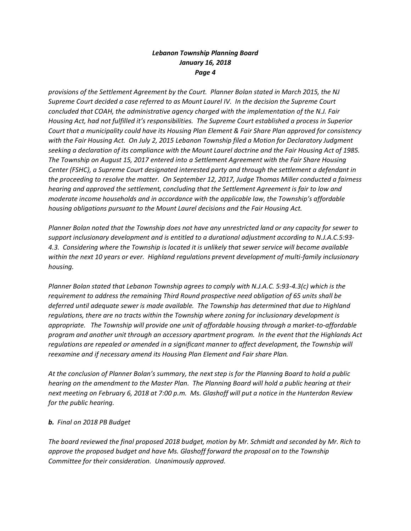*provisions of the Settlement Agreement by the Court. Planner Bolan stated in March 2015, the NJ Supreme Court decided a case referred to as Mount Laurel IV. In the decision the Supreme Court concluded that COAH, the administrative agency charged with the implementation of the N.J. Fair Housing Act, had not fulfilled it's responsibilities. The Supreme Court established a process in Superior Court that a municipality could have its Housing Plan Element & Fair Share Plan approved for consistency with the Fair Housing Act. On July 2, 2015 Lebanon Township filed a Motion for Declaratory Judgment seeking a declaration of its compliance with the Mount Laurel doctrine and the Fair Housing Act of 1985. The Township on August 15, 2017 entered into a Settlement Agreement with the Fair Share Housing Center (FSHC), a Supreme Court designated interested party and through the settlement a defendant in the proceeding to resolve the matter. On September 12, 2017, Judge Thomas Miller conducted a fairness hearing and approved the settlement, concluding that the Settlement Agreement is fair to low and moderate income households and in accordance with the applicable law, the Township's affordable housing obligations pursuant to the Mount Laurel decisions and the Fair Housing Act.* 

*Planner Bolan noted that the Township does not have any unrestricted land or any capacity for sewer to support inclusionary development and is entitled to a durational adjustment according to N.J.A.C.5:93- 4.3. Considering where the Township is located it is unlikely that sewer service will become available within the next 10 years or ever. Highland regulations prevent development of multi-family inclusionary housing.* 

*Planner Bolan stated that Lebanon Township agrees to comply with N.J.A.C. 5:93-4.3(c) which is the requirement to address the remaining Third Round prospective need obligation of 65 units shall be deferred until adequate sewer is made available. The Township has determined that due to Highland regulations, there are no tracts within the Township where zoning for inclusionary development is appropriate. The Township will provide one unit of affordable housing through a market-to-affordable program and another unit through an accessory apartment program. In the event that the Highlands Act regulations are repealed or amended in a significant manner to affect development, the Township will reexamine and if necessary amend its Housing Plan Element and Fair share Plan.*

*At the conclusion of Planner Bolan's summary, the next step is for the Planning Board to hold a public hearing on the amendment to the Master Plan. The Planning Board will hold a public hearing at their next meeting on February 6, 2018 at 7:00 p.m. Ms. Glashoff will put a notice in the Hunterdon Review for the public hearing.*

# *b. Final on 2018 PB Budget*

*The board reviewed the final proposed 2018 budget, motion by Mr. Schmidt and seconded by Mr. Rich to approve the proposed budget and have Ms. Glashoff forward the proposal on to the Township Committee for their consideration. Unanimously approved.*